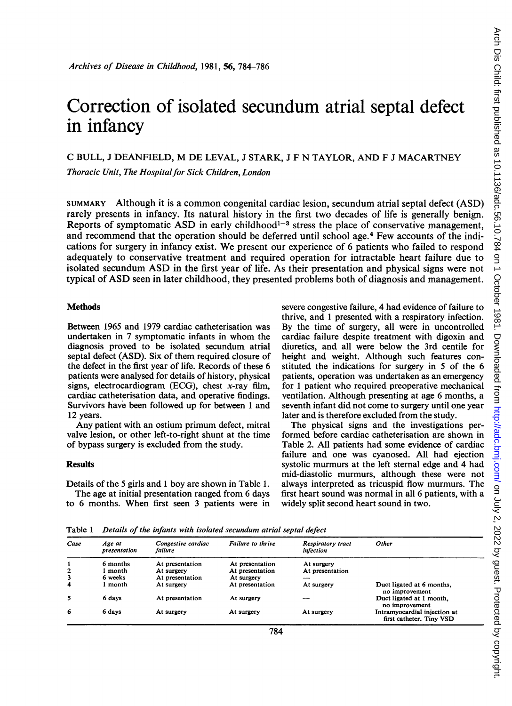# Correction of isolated secundum atrial septal defect in infancy

## C BULL, <sup>J</sup> DEANFIELD, M DE LEVAL, <sup>J</sup> STARK, <sup>J</sup> F N TAYLOR, AND F <sup>J</sup> MACARTNEY

Thoracic Unit, The Hospital for Sick Children, London

SUMMARY Although it is a common congenital cardiac lesion, secundum atrial septal defect (ASD) rarely presents in infancy. Its natural history in the first two decades of life is generally benign. Reports of symptomatic ASD in early childhood<sup>1-3</sup> stress the place of conservative management, and recommend that the operation should be deferred until school age.<sup>4</sup> Few accounts of the indications for surgery in infancy exist. We present our experience of <sup>6</sup> patients who failed to respond adequately to conservative treatment and required operation for intractable heart failure due to isolated secundum ASD in the first year of life. As their presentation and physical signs were not typical of ASD seen in later childhood, they presented problems both of diagnosis and management.

## **Methods**

Between 1965 and 1979 cardiac catheterisation was undertaken in <sup>7</sup> symptomatic infants in whom the diagnosis proved to be isolated secundum atrial septal defect (ASD). Six of them required closure of the defect in the first year of life. Records of these 6 patients were analysed for details of history, physical signs, electrocardiogram (ECG), chest  $x$ -ray film, cardiac catheterisation data, and operative findings. Survivors have been followed up for between <sup>1</sup> and 12 years.

Any patient with an ostium primum defect, mitral valve lesion, or other left-to-right shunt at the time of bypass surgery is excluded from the study.

### **Results**

Details of the 5 girls and <sup>1</sup> boy are shown in Table 1. The age at initial presentation ranged from 6 days to 6 months. When first seen <sup>3</sup> patients were in severe congestive failure, 4 had evidence of failure to thrive, and <sup>1</sup> presented with a respiratory infection. By the time of surgery, all were in uncontrolled cardiac failure despite treatment with digoxin and diuretics, and all were below the 3rd centile for height and weight. Although such features constituted the indications for surgery in 5 of the 6 patients, operation was undertaken as an emergency for <sup>1</sup> patient who required preoperative mechanical ventilation. Although presenting at age 6 months, a seventh infant did not come to surgery until one year later and is therefore excluded from the study.

The physical signs and the investigations performed before cardiac catheterisation are shown in Table 2. All patients had some evidence of cardiac failure and one was cyanosed. All had ejection systolic murmurs at the left sternal edge and 4 had mid-diastolic murmurs, although these were not always interpreted as tricuspid flow murmurs. The first heart sound was normal in all 6 patients, with a widely split second heart sound in two.

Table <sup>1</sup> Details of the infants with isolated secundum atrial septal defect

| Case              | Age at<br>presentation       | Congestive cardiac<br>failure | Failure to thrive                  | <b>Respiratory tract</b><br>infection | Other                                                    |
|-------------------|------------------------------|-------------------------------|------------------------------------|---------------------------------------|----------------------------------------------------------|
| $\mathbf{2}$<br>3 | 6 months<br>month<br>6 weeks | At presentation<br>At surgery | At presentation<br>At presentation | At surgery<br>At presentation         |                                                          |
| 4                 | l month                      | At presentation<br>At surgery | At surgery<br>At presentation      | --<br>At surgery                      | Duct ligated at 6 months,<br>no improvement              |
| 5                 | 6 days                       | At presentation               | At surgery                         |                                       | Duct ligated at 1 month.<br>no improvement               |
| 6                 | 6 days                       | At surgery                    | At surgery                         | At surgery                            | Intramyocardial injection at<br>first catheter. Tiny VSD |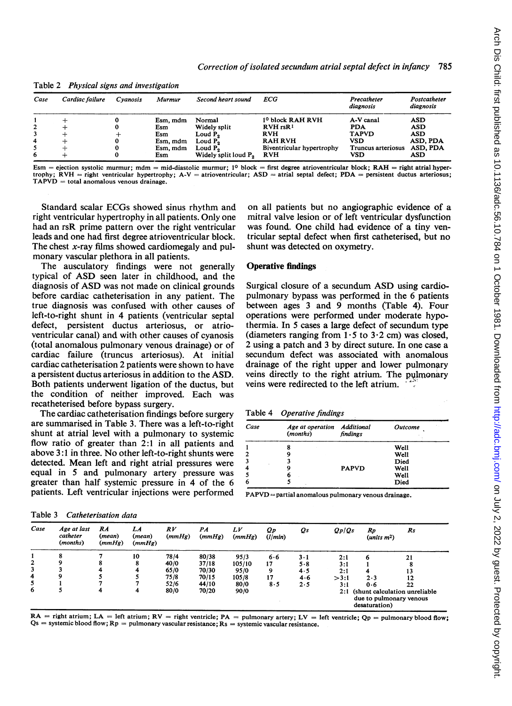| Case         | Cardiac failure | Cvanosis | Murmur   | Second heart sound               | ECG                          | Precatheter        | Postcatheter |
|--------------|-----------------|----------|----------|----------------------------------|------------------------------|--------------------|--------------|
|              |                 |          |          |                                  |                              | diagnosis          | diagnosis    |
|              |                 |          | Esm, mdm | Normal                           | 1 <sup>0</sup> block RAH RVH | A-V canal          | ASD          |
| $\mathbf{2}$ |                 |          | Esm      | Widely split                     | $RVH$ rs $R1$                | <b>PDA</b>         | ASD          |
| 3            |                 |          | Esm      | Loud P <sub>o</sub>              | <b>RVH</b>                   | <b>TAPVD</b>       | <b>ASD</b>   |
| 4            |                 |          | Esm, mdm | Loud P <sub>2</sub>              | <b>RAH RVH</b>               | VSD                | ASD, PDA     |
| 5.           |                 |          | Esm, mdm | Loud P.                          | Biventricular hypertrophy    | Truncus arteriosus | ASD. PDA     |
| 6            |                 |          | Esm      | Widely split loud P <sub>2</sub> | <b>RVH</b>                   | VSD                | ASD          |

Table 2 Physical signs and investigation

Esm = ejection systolic murmur; mdm = mid-diastolic murmur; 1<sup>0</sup> block = first degree atrioventricular block; RAH = right atrial hypertrophy; RVH = right ventricular hypertrophy; A-V = atrioventricular; ASD = atrial septal defect; PDA = persistent ductus arteriosus;  $TAPVD = total$  anomalous venous drainage.

Standard scalar ECGs showed sinus rhythm and right ventricular hypertrophy in all patients. Only one had an rsR prime pattern over the right ventricular leads and one had first degree atrioventricular block. The chest  $x$ -ray films showed cardiomegaly and pulmonary vascular plethora in all patients.

The ausculatory findings were not generally typical of ASD seen later in childhood, and the diagnosis of ASD was not made on clinical grounds before cardiac catheterisation in any patient. The true diagnosis was confused with other causes of left-to-right shunt in 4 patients (ventricular septal defect, persistent ductus arteriosus, or atrioventricular canal) and with other causes of cyanosis (total anomalous pulmonary venous drainage) or of cardiac failure (truncus arteriosus). At initial cardiac catheterisation 2 patients were shown to have a persistent ductus arteriosus in addition to the ASD. Both patients underwent ligation of the ductus, but the condition of neither improved. Each was recatheterised before bypass surgery.

The cardiac catheterisation findings before surgery are summarised in Table 3. There was a left-to-right shunt at atrial level with a pulmonary to systemic flow ratio of greater than 2:1 in all patients and above 3:1 in three. No other left-to-right shunts were detected. Mean left and right atrial pressures were equal in 5 and pulmonary artery pressure was greater than half systemic pressure in 4 of the 6 patients. Left ventricular injections were performed

on all patients but no angiographic evidence of a mitral valve lesion or of left ventricular dysfunction was found. One child had evidence of a tiny ventricular septa] defect when first catheterised, but no shunt was detected on oxymetry.

## Operative findings

Surgical closure of <sup>a</sup> secundum ASD using cardiopulmonary bypass was performed in the 6 patients between ages 3 and 9 months (Table 4). Four operations were performed under moderate hypothermia. In 5 cases a large defect of secundum type (diameters ranging from  $1.5$  to  $3.2$  cm) was closed, 2 using a patch and 3 by direct suture. In one case a secundum defect was associated with anomalous drainage of the right upper and lower pulmonary veins directly to the right atrium. The pulmonary veins were redirected to the left atrium.

| <b>Operative findings</b> | Table 4 |  |  |
|---------------------------|---------|--|--|
|---------------------------|---------|--|--|

| Case | Age at operation Additional<br>(months) | findings     | $\sim$<br><b>Outcome</b> |  |  |
|------|-----------------------------------------|--------------|--------------------------|--|--|
| 1    |                                         |              | Well                     |  |  |
| 2    |                                         |              | Well                     |  |  |
| 3    |                                         |              | Died                     |  |  |
| 4    |                                         | <b>PAPVD</b> | Well                     |  |  |
| 5    | o                                       |              | <b>Well</b>              |  |  |
| 6    | k.                                      |              | Died                     |  |  |

 $PAPVD =$  partial anomalous pulmonary venous drainage.

| Case         | Age at last<br>catheter<br>(months) | RA<br>(mean)<br>(mmHg) | LA<br>(mean)<br>(mmHg) | RV<br>(mmHg) | $_{PA}$<br>(mmHg) | LV<br>(mmHg) | Qp<br>(l/min) | Qs          | Qp/Qs | Rp<br>(units $m2$ )                                                        | Rs |  |
|--------------|-------------------------------------|------------------------|------------------------|--------------|-------------------|--------------|---------------|-------------|-------|----------------------------------------------------------------------------|----|--|
|              |                                     |                        | 10                     | 78/4         | 80/38             | 95/3         | 6.6           | $3 \cdot 1$ | 2:1   | 6                                                                          | 21 |  |
| $\mathbf{2}$ | ۹                                   |                        |                        | 40/0         | 37/18             | 105/10       | 17            | 5.8         | 3:1   |                                                                            |    |  |
| 3            |                                     | 4                      |                        | 65/0         | 70/30             | 95/0         | 9             | 4.5         | 2:1   |                                                                            | 13 |  |
| 4            | 9                                   |                        |                        | 75/8         | 70/15             | 105/8        | 17            | 4.6         | >3:1  | 2.3                                                                        | 12 |  |
|              |                                     |                        |                        | 52/6         | 44/10             | 80/0         | 8.5           | 2.5         | 3:1   | 0.6                                                                        | 22 |  |
| 6            |                                     | 4                      | 4                      | 80/0         | 70/20             | 90/0         |               |             | 2:1   | (shunt calculation unreliable)<br>due to pulmonary venous<br>desaturation) |    |  |

 $RA$  = right atrium;  $LA$  = left atrium;  $RV$  = right ventricle;  $PA$  = pulmonary artery;  $LV$  = left ventricle;  $Qp$  = pulmonary blood flow;  $Qs =$  systemic blood flow;  $Rp =$  pulmonary vascular resistance;  $Rs =$  systemic vascular resistance.